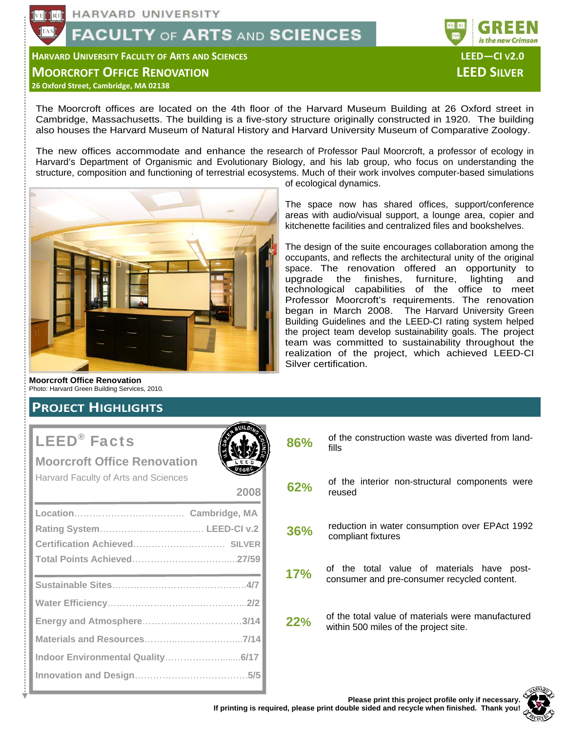# **FACULTY OF ARTS AND SCIENCES**

**HARVARD UNIVERSITY FACULTY OF ARTS AND SCIENCES LEED—CI V2.0**

**MOORCROFT OFFICE RENOVATION LEED SILVER**

**26 Oxford Street, Cambridge, MA 02138**

The Moorcroft offices are located on the 4th floor of the Harvard Museum Building at 26 Oxford street in Cambridge, Massachusetts. The building is a five-story structure originally constructed in 1920. The building also houses the Harvard Museum of Natural History and Harvard University Museum of Comparative Zoology.

The new offices accommodate and enhance the research of Professor Paul Moorcroft, a professor of ecology in Harvard's Department of Organismic and Evolutionary Biology, and his lab group, who focus on understanding the structure, composition and functioning of terrestrial ecosystems. Much of their work involves computer-based simulations

**2008** 



of ecological dynamics.

The space now has shared offices, support/conference areas with audio/visual support, a lounge area, copier and kitchenette facilities and centralized files and bookshelves.

is the new Crimson

The design of the suite encourages collaboration among the occupants, and reflects the architectural unity of the original space. The renovation offered an opportunity to upgrade the finishes, furniture, lighting and upgrade the finishes, furniture, lighting and technological capabilities of the office to meet Professor Moorcroft's requirements. The renovation began in March 2008. The Harvard University Green Building Guidelines and the LEED-CI rating system helped the project team develop sustainability goals. The project team was committed to sustainability throughout the realization of the project, which achieved LEED-CI Silver certification.

**Moorcroft Office Renovation**  Photo: Harvard Green Building Services, 2010.

# **PROJECT HIGHLIGHTS**

# LEED® Facts

## **Moorcroft Office Renovation**

Harvard Faculty of Arts and Sciences

| 86% | of the construction waste was diverted from land-<br>fills                                 |
|-----|--------------------------------------------------------------------------------------------|
| 62% | of the interior non-structural components were<br>reused                                   |
| 36% | reduction in water consumption over EPAct 1992<br>compliant fixtures                       |
| 17% | of the total value of materials have post-<br>consumer and pre-consumer recycled content.  |
| 22% | of the total value of materials were manufactured<br>within 500 miles of the project site. |
|     |                                                                                            |

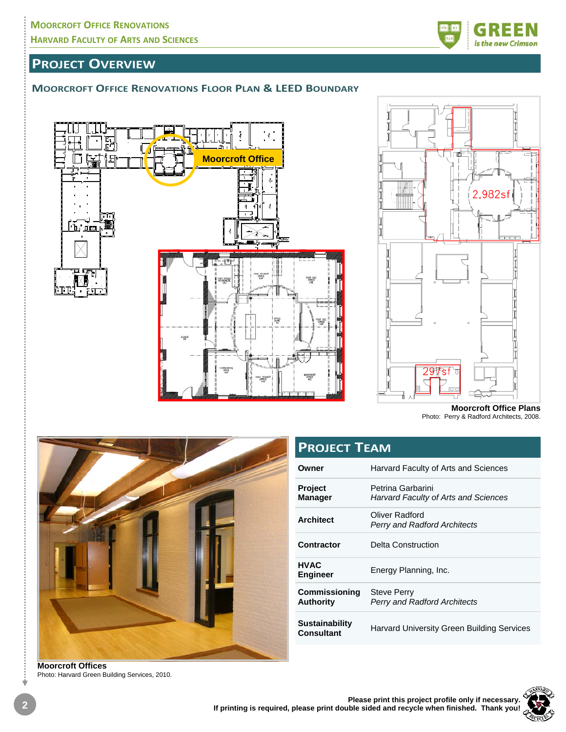

# **PROJECT OVERVIEW**

#### **MOORCROFT OFFICE RENOVATIONS FLOOR PLAN & LEED BOUNDARY**





**Moorcroft Office Plans**  Photo: Perry & Radford Architects, 2008.



**Owner** Harvard Faculty of Arts and Sciences **Project Manager**  Petrina Garbarini *Harvard Faculty of Arts and Sciences*  **Architect Oliver Radford** *Perry and Radford Architects*  **Contractor** Delta Construction **HVAC Energy Planning, Inc. Commissioning Authority**  Steve Perry *Perry and Radford Architects*  **Sustainability Consultant** Harvard University Green Building Services **PROJECT TEAM**

**Moorcroft Offices**  Photo: Harvard Green Building Services, 2010.

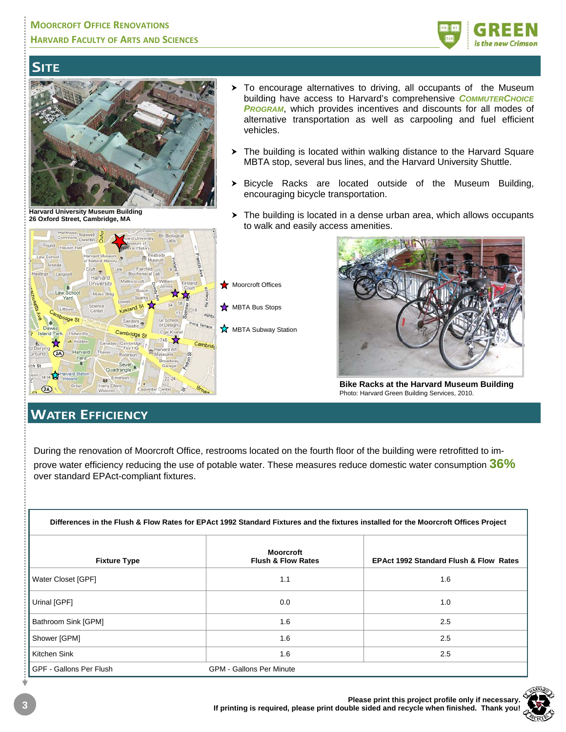

# **SITE**



**Harvard University Museum Building 26 Oxford Street, Cambridge, MA**

- $\triangleright$  To encourage alternatives to driving, all occupants of the Museum building have access to Harvard's comprehensive *COMMUTERCHOICE PROGRAM*, which provides incentives and discounts for all modes of alternative transportation as well as carpooling and fuel efficient vehicles.
- $\triangleright$  The building is located within walking distance to the Harvard Square MBTA stop, several bus lines, and the Harvard University Shuttle.
- $\triangleright$  Bicycle Racks are located outside of the Museum Building, encouraging bicycle transportation.
- $\triangleright$  The building is located in a dense urban area, which allows occupants to walk and easily access amenities.



**Bike Racks at the Harvard Museum Building**  Photo: Harvard Green Building Services, 2010.

# **WATER EFFICIENCY**

During the renovation of Moorcroft Office, restrooms located on the fourth floor of the building were retrofitted to improve water efficiency reducing the use of potable water. These measures reduce domestic water consumption **36%** over standard EPAct-compliant fixtures.

| Differences in the Flush & Flow Rates for EPAct 1992 Standard Fixtures and the fixtures installed for the Moorcroft Offices Project |  |
|-------------------------------------------------------------------------------------------------------------------------------------|--|
|                                                                                                                                     |  |

| <b>Fixture Type</b>     | <b>Moorcroft</b><br><b>Flush &amp; Flow Rates</b> | <b>EPAct 1992 Standard Flush &amp; Flow Rates</b> |
|-------------------------|---------------------------------------------------|---------------------------------------------------|
| Water Closet [GPF]      | 1.1                                               | 1.6                                               |
| Urinal [GPF]            | 0.0                                               | 1.0                                               |
| Bathroom Sink [GPM]     | 1.6                                               | 2.5                                               |
| Shower [GPM]            | 1.6                                               | 2.5                                               |
| Kitchen Sink            | 1.6                                               | 2.5                                               |
| GPF - Gallons Per Flush | <b>GPM - Gallons Per Minute</b>                   |                                                   |

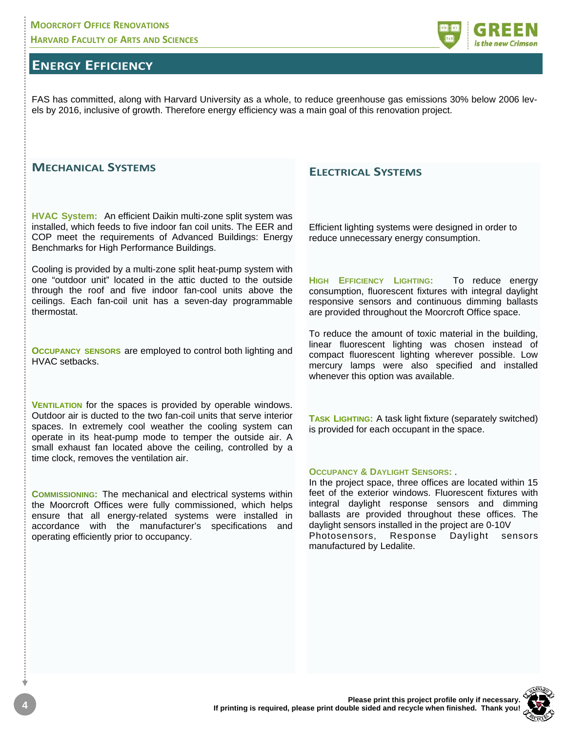# **ENERGY EFFICIENCY**

FAS has committed, along with Harvard University as a whole, to reduce greenhouse gas emissions 30% below 2006 levels by 2016, inclusive of growth. Therefore energy efficiency was a main goal of this renovation project.

#### **MECHANICAL SYSTEMS**

**HVAC System:** An efficient Daikin multi-zone split system was installed, which feeds to five indoor fan coil units. The EER and COP meet the requirements of Advanced Buildings: Energy Benchmarks for High Performance Buildings.

Cooling is provided by a multi-zone split heat-pump system with one "outdoor unit" located in the attic ducted to the outside through the roof and five indoor fan-cool units above the ceilings. Each fan-coil unit has a seven-day programmable thermostat.

**OCCUPANCY SENSORS** are employed to control both lighting and HVAC setbacks.

**VENTILATION** for the spaces is provided by operable windows. Outdoor air is ducted to the two fan-coil units that serve interior spaces. In extremely cool weather the cooling system can operate in its heat-pump mode to temper the outside air. A small exhaust fan located above the ceiling, controlled by a time clock, removes the ventilation air.

**COMMISSIONING:** The mechanical and electrical systems within the Moorcroft Offices were fully commissioned, which helps ensure that all energy-related systems were installed in accordance with the manufacturer's specifications and operating efficiently prior to occupancy.

#### **ELECTRICAL SYSTEMS**

Efficient lighting systems were designed in order to reduce unnecessary energy consumption.

**HIGH EFFICIENCY LIGHTING:** To reduce energy consumption, fluorescent fixtures with integral daylight responsive sensors and continuous dimming ballasts are provided throughout the Moorcroft Office space.

To reduce the amount of toxic material in the building, linear fluorescent lighting was chosen instead of compact fluorescent lighting wherever possible. Low mercury lamps were also specified and installed whenever this option was available.

**TASK LIGHTING:** A task light fixture (separately switched) is provided for each occupant in the space.

#### **OCCUPANCY & DAYLIGHT SENSORS:** .

In the project space, three offices are located within 15 feet of the exterior windows. Fluorescent fixtures with integral daylight response sensors and dimming ballasts are provided throughout these offices. The daylight sensors installed in the project are 0-10V Photosensors, Response Daylight sensors manufactured by Ledalite.

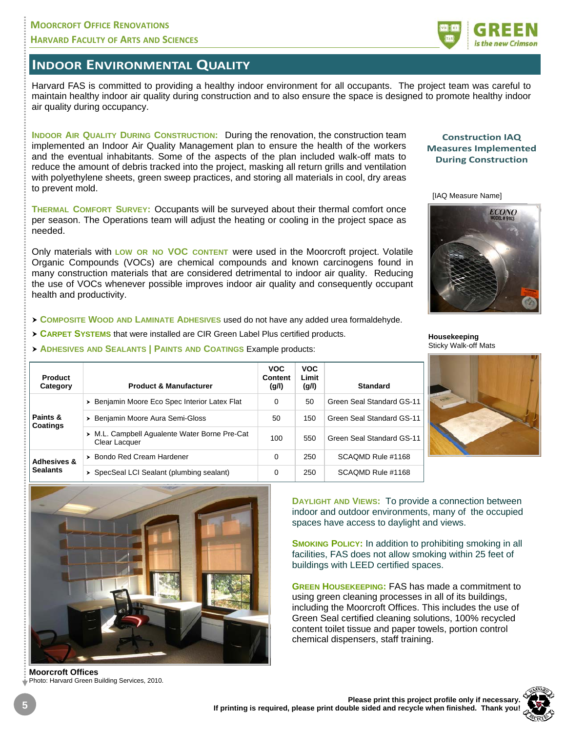#### **MOORCROFT OFFICE RENOVATIONS HARVARD FACULTY OF ARTS AND SCIENCES**

## **INDOOR ENVIRONMENTAL QUALITY**

Harvard FAS is committed to providing a healthy indoor environment for all occupants. The project team was careful to maintain healthy indoor air quality during construction and to also ensure the space is designed to promote healthy indoor air quality during occupancy.

**INDOOR AIR QUALITY DURING CONSTRUCTION:** During the renovation, the construction team implemented an Indoor Air Quality Management plan to ensure the health of the workers and the eventual inhabitants. Some of the aspects of the plan included walk-off mats to reduce the amount of debris tracked into the project, masking all return grills and ventilation with polyethylene sheets, green sweep practices, and storing all materials in cool, dry areas to prevent mold.

**THERMAL COMFORT SURVEY:** Occupants will be surveyed about their thermal comfort once per season. The Operations team will adjust the heating or cooling in the project space as needed.

Only materials with **LOW OR NO VOC CONTENT** were used in the Moorcroft project. Volatile Organic Compounds (VOCs) are chemical compounds and known carcinogens found in many construction materials that are considered detrimental to indoor air quality. Reducing the use of VOCs whenever possible improves indoor air quality and consequently occupant health and productivity.

- h **COMPOSITE WOOD AND LAMINATE ADHESIVES** used do not have any added urea formaldehyde.
- **CARPET SYSTEMS** that were installed are CIR Green Label Plus certified products.
- h **ADHESIVES AND SEALANTS | PAINTS AND COATINGS** Example products:

| <b>Product</b><br>Category  | <b>Product &amp; Manufacturer</b>                              | <b>VOC</b><br>Content<br>(g/l) | <b>VOC</b><br>Limit<br>(g/l) | <b>Standard</b>           |
|-----------------------------|----------------------------------------------------------------|--------------------------------|------------------------------|---------------------------|
| Paints &<br><b>Coatings</b> | > Benjamin Moore Eco Spec Interior Latex Flat                  | 0                              | 50                           | Green Seal Standard GS-11 |
|                             | > Benjamin Moore Aura Semi-Gloss                               | 50                             | 150                          | Green Seal Standard GS-11 |
|                             | > M.L. Campbell Aqualente Water Borne Pre-Cat<br>Clear Lacquer | 100                            | 550                          | Green Seal Standard GS-11 |
| Adheeman O                  | > Bondo Red Cream Hardener                                     | 0                              | 250                          | SCAQMD Rule #1168         |

> SpecSeal LCI Sealant (plumbing sealant) 0 250 SCAQMD Rule #1168





**Moorcroft Offices**  Photo: Harvard Green Building Services, 2010.



**Construction IAQ Measures Implemented During Construction**

<sup>[</sup>IAQ Measure Name]



**Housekeeping**  Sticky Walk-off Mats



**DAYLIGHT AND VIEWS:** To provide a connection between indoor and outdoor environments, many of the occupied spaces have access to daylight and views.

**SMOKING POLICY:** In addition to prohibiting smoking in all facilities, FAS does not allow smoking within 25 feet of buildings with LEED certified spaces.

**GREEN HOUSEKEEPING:** FAS has made a commitment to using green cleaning processes in all of its buildings, including the Moorcroft Offices. This includes the use of Green Seal certified cleaning solutions, 100% recycled content toilet tissue and paper towels, portion control chemical dispensers, staff training.